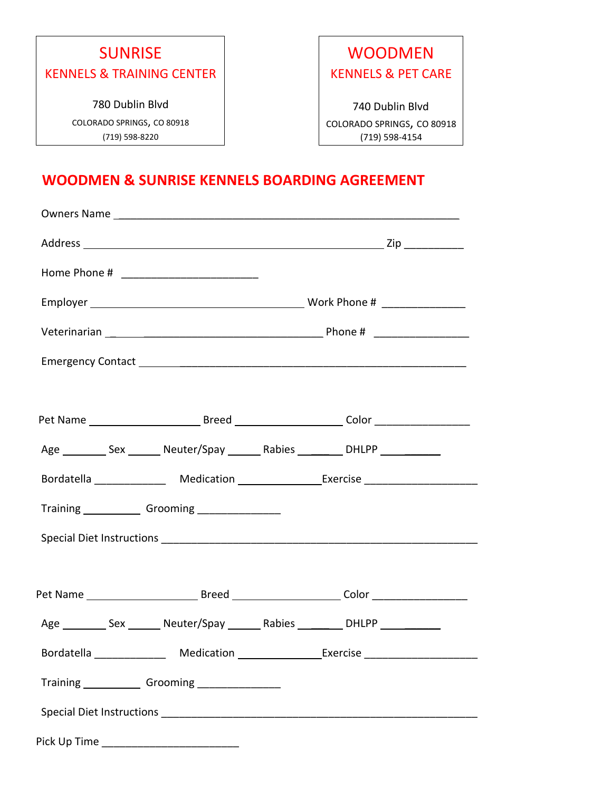# SUNRISE KENNELS & TRAINING CENTER 780 Dublin Blvd

COLORADO SPRINGS, CO 80918 (719) 598-8220

## WOODMEN KENNELS & PET CARE

740 Dublin Blvd COLORADO SPRINGS, CO 80918 (719) 598-4154

### **WOODMEN & SUNRISE KENNELS BOARDING AGREEMENT**

|                                              | Pet Name ________________________________Breed ________________________Color ______________________ |  |
|----------------------------------------------|-----------------------------------------------------------------------------------------------------|--|
|                                              | Age ___________ Sex ________ Neuter/Spay ________ Rabies __________ DHLPP ____________              |  |
|                                              | Bordatella _________________ Medication __________________Exercise _____________                    |  |
|                                              |                                                                                                     |  |
|                                              |                                                                                                     |  |
|                                              |                                                                                                     |  |
|                                              |                                                                                                     |  |
|                                              | Age __________ Sex ________ Neuter/Spay ________ Rabies __________ DHLPP ____________               |  |
|                                              | Bordatella Medication Exercise                                                                      |  |
|                                              |                                                                                                     |  |
|                                              |                                                                                                     |  |
| Pick Up Time _______________________________ |                                                                                                     |  |